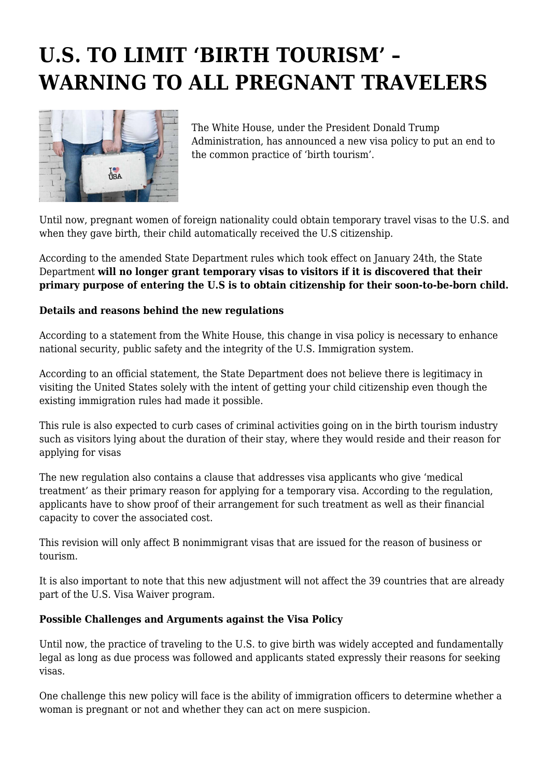## **U.S. TO LIMIT 'BIRTH TOURISM' – WARNING TO ALL PREGNANT TRAVELERS**



The White House, under the President Donald Trump Administration, has announced a new visa policy to put an end to the common practice of 'birth tourism'.

Until now, pregnant women of foreign nationality could obtain temporary travel visas to the U.S. and when they gave birth, their child automatically received the U.S citizenship.

According to the amended State Department rules which took effect on January 24th, the State Department **will no longer grant temporary visas to visitors if it is discovered that their primary purpose of entering the U.S is to obtain citizenship for their soon-to-be-born child.**

## **Details and reasons behind the new regulations**

According to a statement from the White House, this change in visa policy is necessary to enhance national security, public safety and the integrity of the U.S. Immigration system.

According to an official statement, the State Department does not believe there is legitimacy in visiting the United States solely with the intent of getting your child citizenship even though the existing immigration rules had made it possible.

This rule is also expected to curb cases of criminal activities going on in the birth tourism industry such as visitors lying about the duration of their stay, where they would reside and their reason for applying for visas

The new regulation also contains a clause that addresses visa applicants who give 'medical treatment' as their primary reason for applying for a temporary visa. According to the regulation, applicants have to show proof of their arrangement for such treatment as well as their financial capacity to cover the associated cost.

This revision will only affect B nonimmigrant visas that are issued for the reason of business or tourism.

It is also important to note that this new adjustment will not affect the 39 countries that are already part of the U.S. Visa Waiver program.

## **Possible Challenges and Arguments against the Visa Policy**

Until now, the practice of traveling to the U.S. to give birth was widely accepted and fundamentally legal as long as due process was followed and applicants stated expressly their reasons for seeking visas.

One challenge this new policy will face is the ability of immigration officers to determine whether a woman is pregnant or not and whether they can act on mere suspicion.